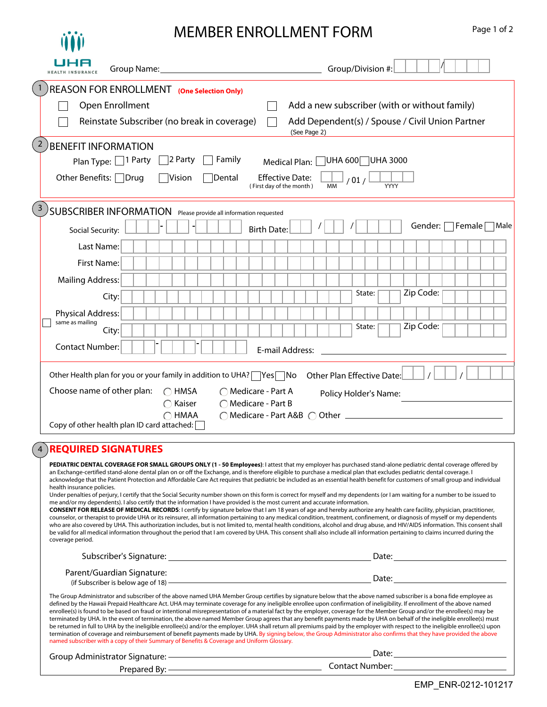## MEMBER ENDOLLMENT FORM

Page 1 of 2

| Male                                                                                                                                                                           |
|--------------------------------------------------------------------------------------------------------------------------------------------------------------------------------|
|                                                                                                                                                                                |
|                                                                                                                                                                                |
|                                                                                                                                                                                |
|                                                                                                                                                                                |
|                                                                                                                                                                                |
|                                                                                                                                                                                |
|                                                                                                                                                                                |
|                                                                                                                                                                                |
|                                                                                                                                                                                |
|                                                                                                                                                                                |
|                                                                                                                                                                                |
|                                                                                                                                                                                |
| acknowledge that the Patient Protection and Affordable Care Act requires that pediatric be included as an essential health benefit for customers of small group and individual |
| PEDIATRIC DENTAL COVERAGE FOR SMALL GROUPS ONLY (1 - 50 Employees): I attest that my employer has purchased stand-alone pediatric dental coverage offered by                   |

counselor, or therapist to provide UHA or its reinsurer, all information pertaining to any medical condition, treatment, confinement, or diagnosis of myself or my dependents who are also covered by UHA. This authorization includes, but is not limited to, mental health conditions, alcohol and drug abuse, and HIV/AIDS information. This consent shall be valid for all medical information throughout the period that I am covered by UHA. This consent shall also include all information pertaining to claims incurred during the coverage period.

| Subscriber's Signature:                                               | Date: |
|-----------------------------------------------------------------------|-------|
| Parent/Guardian Signature:<br>(if Subscriber is below age of $18$ ) - | Date: |

The Group Administrator and subscriber of the above named UHA Member Group certifies by signature below that the above named subscriber is a bona fide employee as defined by the Hawaii Prepaid Healthcare Act. UHA may terminate coverage for any ineligible enrollee upon confirmation of ineligibility. If enrollment of the above named enrollee(s) is found to be based on fraud or intentional misrepresentation of a material fact by the employer, coverage for the Member Group and/or the enrollee(s) may be terminated by UHA. In the event of termination, the above named Member Group agrees that any benefit payments made by UHA on behalf of the ineligible enrollee(s) must be returned in full to UHA by the ineligible enrollee(s) and/or the employer. UHA shall return all premiums paid by the employer with respect to the ineligible enrollee(s) upon termination of coverage and reimbursement of benefit payments made by UHA. By signing below, the Group Administrator also confirms that they have provided the above named subscriber with a copy of their Summary of Benefits & Coverage and Uniform Glossary.

| Group Administrator Signature: | Date:           |
|--------------------------------|-----------------|
|                                |                 |
| Prepared By:                   | Contact Number: |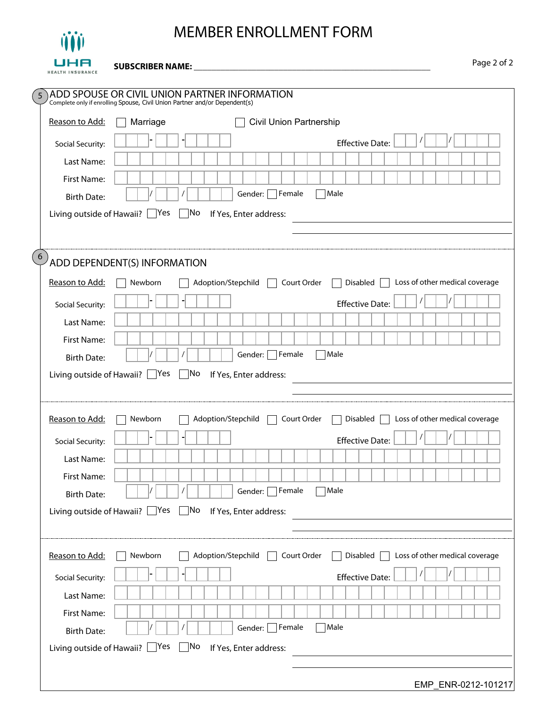

## MEMBER ENROLLMENT FORM

 $\overline{\phantom{0}}$ 

Page 2 of 2 **SUBSCRIBER NAME: \_\_\_\_\_\_\_\_\_\_\_\_\_\_\_\_\_\_\_\_\_\_\_\_\_\_\_\_\_\_\_\_\_\_\_\_\_\_\_\_\_\_\_\_\_\_\_\_\_\_\_\_\_**

| $5\phantom{.0}$                      | ADD SPOUSE OR CIVIL UNION PARTNER INFORMATION<br>Complete only if enrolling Spouse, Civil Union Partner and/or Dependent(s) |
|--------------------------------------|-----------------------------------------------------------------------------------------------------------------------------|
| Reason to Add:                       | Civil Union Partnership<br>Marriage                                                                                         |
| Social Security:                     | <b>Effective Date:</b>                                                                                                      |
| Last Name:                           |                                                                                                                             |
| First Name:                          |                                                                                                                             |
| <b>Birth Date:</b>                   | $\Box$ Female<br>Male<br>Gender:                                                                                            |
| Living outside of Hawaii? $\Box$ Yes | No<br>If Yes, Enter address:                                                                                                |
|                                      |                                                                                                                             |
| $6\overline{6}$                      | ADD DEPENDENT(S) INFORMATION                                                                                                |
| Reason to Add:                       | Disabled $\Box$ Loss of other medical coverage<br>Newborn<br>Adoption/Stepchild<br>Court Order                              |
| Social Security:                     | <b>Effective Date:</b>                                                                                                      |
| Last Name:                           |                                                                                                                             |
| First Name:                          |                                                                                                                             |
| <b>Birth Date:</b>                   | $\Box$ Female<br>Male<br>Gender:                                                                                            |
| Living outside of Hawaii? $\Box$ Yes | No<br>If Yes, Enter address:                                                                                                |
|                                      |                                                                                                                             |
| Reason to Add:                       | Loss of other medical coverage<br>Adoption/Stepchild<br>Court Order<br>Disable d<br>Newborn                                 |
| Social Security:                     | <b>Effective Date:</b>                                                                                                      |
| Last Name:                           |                                                                                                                             |
| First Name:                          |                                                                                                                             |
| <b>Birth Date:</b>                   | $\prime$<br>Gender: Female Male                                                                                             |
| Living outside of Hawaii? $\Box$ Yes | $\Box$ No If Yes, Enter address:                                                                                            |
|                                      |                                                                                                                             |
| Reason to Add:                       | Adoption/Stepchild<br>Court Order<br>Disabled $\Box$ Loss of other medical coverage<br>Newborn<br>$\mathcal{L}$<br>$\sim$   |
| Social Security:                     | <b>Effective Date:</b>                                                                                                      |
| Last Name:                           |                                                                                                                             |
| First Name:                          |                                                                                                                             |
| <b>Birth Date:</b>                   | $\Box$ Female<br>Male<br>Gender:                                                                                            |
|                                      | Living outside of Hawaii? $\Box$ Yes $\Box$ No<br>If Yes, Enter address:                                                    |
|                                      |                                                                                                                             |
|                                      | EMP_ENR-0212-101217                                                                                                         |